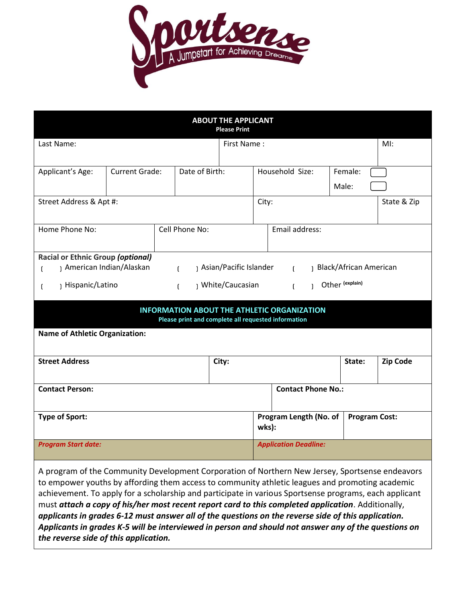

| <b>ABOUT THE APPLICANT</b><br><b>Please Print</b>                                                                                                                                                                                                                              |                       |                |                |                                 |                              |                      |                  |     |  |
|--------------------------------------------------------------------------------------------------------------------------------------------------------------------------------------------------------------------------------------------------------------------------------|-----------------------|----------------|----------------|---------------------------------|------------------------------|----------------------|------------------|-----|--|
| Last Name:                                                                                                                                                                                                                                                                     |                       |                |                |                                 | First Name:                  |                      |                  | MI: |  |
| Applicant's Age:                                                                                                                                                                                                                                                               | <b>Current Grade:</b> |                | Date of Birth: |                                 |                              | Household Size:      | Female:<br>Male: |     |  |
| Street Address & Apt #:                                                                                                                                                                                                                                                        |                       |                |                | City:                           |                              |                      | State & Zip      |     |  |
| Home Phone No:                                                                                                                                                                                                                                                                 |                       | Cell Phone No: |                |                                 | Email address:               |                      |                  |     |  |
| <b>Racial or Ethnic Group (optional)</b><br>American Indian/Alaskan<br>) Asian/Pacific Islander<br>Black/African American<br>$\mathbf{f}$<br>$\mathbf{f}$<br>ſ<br>Other (explain)<br>) White/Caucasian<br>Hispanic/Latino<br>$\mathbf{f}$<br>$\mathbf{L}$<br>$\mathbf{1}$<br>t |                       |                |                |                                 |                              |                      |                  |     |  |
| <b>INFORMATION ABOUT THE ATHLETIC ORGANIZATION</b><br>Please print and complete all requested information                                                                                                                                                                      |                       |                |                |                                 |                              |                      |                  |     |  |
| <b>Name of Athletic Organization:</b>                                                                                                                                                                                                                                          |                       |                |                |                                 |                              |                      |                  |     |  |
| <b>Street Address</b>                                                                                                                                                                                                                                                          |                       |                | City:          |                                 |                              | State:               | <b>Zip Code</b>  |     |  |
| <b>Contact Person:</b>                                                                                                                                                                                                                                                         |                       |                |                | <b>Contact Phone No.:</b>       |                              |                      |                  |     |  |
| <b>Type of Sport:</b>                                                                                                                                                                                                                                                          |                       |                |                | Program Length (No. of<br>wks): |                              | <b>Program Cost:</b> |                  |     |  |
| <b>Program Start date:</b>                                                                                                                                                                                                                                                     |                       |                |                |                                 | <b>Application Deadline:</b> |                      |                  |     |  |

A program of the Community Development Corporation of Northern New Jersey, Sportsense endeavors to empower youths by affording them access to community athletic leagues and promoting academic achievement. To apply for a scholarship and participate in various Sportsense programs, each applicant must *attach a copy of his/her most recent report card to this completed application*. Additionally, *applicants in grades 6-12 must answer all of the questions on the reverse side of this application. Applicants in grades K-5 will be interviewed in person and should not answer any of the questions on the reverse side of this application.*